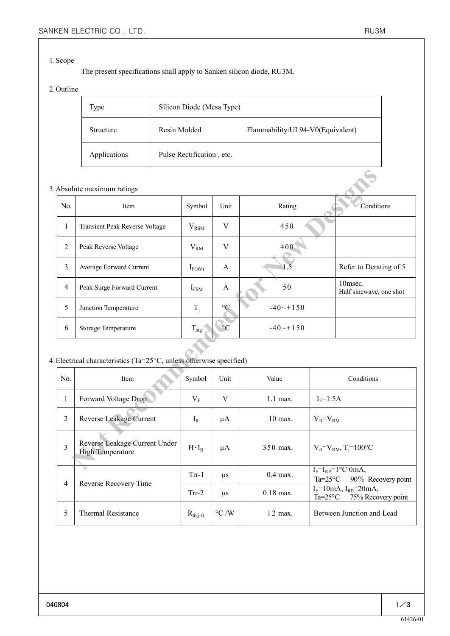#### 1.Scope

The present specifications shall apply to Sanken silicon diode, RU3M.

### 2.Outline

| Type             | Silicon Diode (Mesa Type) |                                   |  |  |  |
|------------------|---------------------------|-----------------------------------|--|--|--|
| <b>Structure</b> | Resin Molded              | Flammability: UL94-V0(Equivalent) |  |  |  |
| Applications     | Pulse Rectification, etc. |                                   |  |  |  |

#### 3.Absolute maximum ratings

|                                                                  | Absolute maximum ratings                                 |                  |             |                  |                                        |                                    |  |  |
|------------------------------------------------------------------|----------------------------------------------------------|------------------|-------------|------------------|----------------------------------------|------------------------------------|--|--|
| No.                                                              | Item                                                     | Symbol           | Unit        | Rating           |                                        | Conditions                         |  |  |
| $\mathbf{1}$                                                     | Transient Peak Reverse Voltage                           | $V_{RSM}$        | V           | 450              |                                        |                                    |  |  |
| $\overline{2}$                                                   | Peak Reverse Voltage                                     | $V_{RM}$         | V           | 400              |                                        |                                    |  |  |
| $\overline{3}$                                                   | Average Forward Current                                  | $I_{F(AV)}$      | A           | $\overline{1.5}$ |                                        | Refer to Derating of 5             |  |  |
| $\overline{4}$                                                   | Peak Surge Forward Current                               | $I_{FSM}$        | A           | 50               |                                        | 10msec.<br>Half sinewave, one shot |  |  |
| 5                                                                | Junction Temperature                                     | $T_j$            | $^{\circ}C$ | $-40 - +150$     |                                        |                                    |  |  |
| 6                                                                | Storage Temperature                                      | $T_{\text{stg}}$ | $\circ$ C   | $-40 - +150$     |                                        |                                    |  |  |
| Electrical characteristics (Ta=25°C, unless otherwise specified) |                                                          |                  |             |                  |                                        |                                    |  |  |
| No.                                                              | Item                                                     | Symbol           | Unit        | Value            |                                        | Conditions                         |  |  |
| $\mathbf{1}$                                                     | Forward Voltage Drop                                     | $V_{\rm F}$      | V           | 1.1 max.         | $I_F = 1.5A$                           |                                    |  |  |
| $\overline{2}$                                                   | Reverse Leakage Current                                  | $I_R$            | $\mu A$     | 10 max.          | $V_R = V_{RM}$                         |                                    |  |  |
| $\overline{3}$                                                   | Reverse Leakage Current Under<br><b>High Temperature</b> | $H \cdot I_R$    | $\mu A$     | 350 max.         | $V_R = V_{RM}$ , T <sub>j</sub> =100°C |                                    |  |  |
|                                                                  |                                                          |                  |             |                  |                                        | $IE=IDP=1oC$ 0mA                   |  |  |

## 4.Electrical characteristics (Ta=25°C, unless otherwise specified)

| No.            | Item                                                     | Symbol        | Unit               | Value       | Conditions                                                                 |
|----------------|----------------------------------------------------------|---------------|--------------------|-------------|----------------------------------------------------------------------------|
| 1              | Forward Voltage Drop                                     | $\rm V_F$     | V                  | $1.1$ max.  | $I_F=1.5A$                                                                 |
| 2              | Reverse Leakage Current                                  | $I_R$         | μA                 | $10$ max.   | $V_R = V_{RM}$                                                             |
| 3              | Reverse Leakage Current Under<br><b>High Temperature</b> | $H \cdot I_R$ | μA                 | 350 max.    | $V_R = V_{RM}$ , T <sub>i</sub> =100°C                                     |
| $\overline{4}$ | Reverse Recovery Time                                    | $Trr-1$       | $\mu$ s            | $0.4$ max.  | $I_F = I_{RP} = 1$ °C 0mA,<br>90% Recovery point<br>$Ta=25^{\circ}C$       |
|                |                                                          | $Trr-2$       | $\mu$ s            | $0.18$ max. | $I_F = 10mA$ , $I_{RP} = 20mA$ ,<br>75% Recovery point<br>$Ta=25^{\circ}C$ |
| 5              | <b>Thermal Resistance</b>                                | $R_{th(j-l)}$ | $\rm ^{\circ}C$ /W | 12 max.     | Between Junction and Lead                                                  |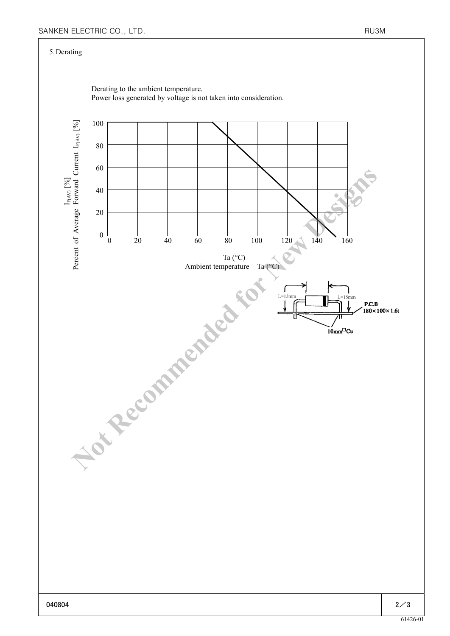